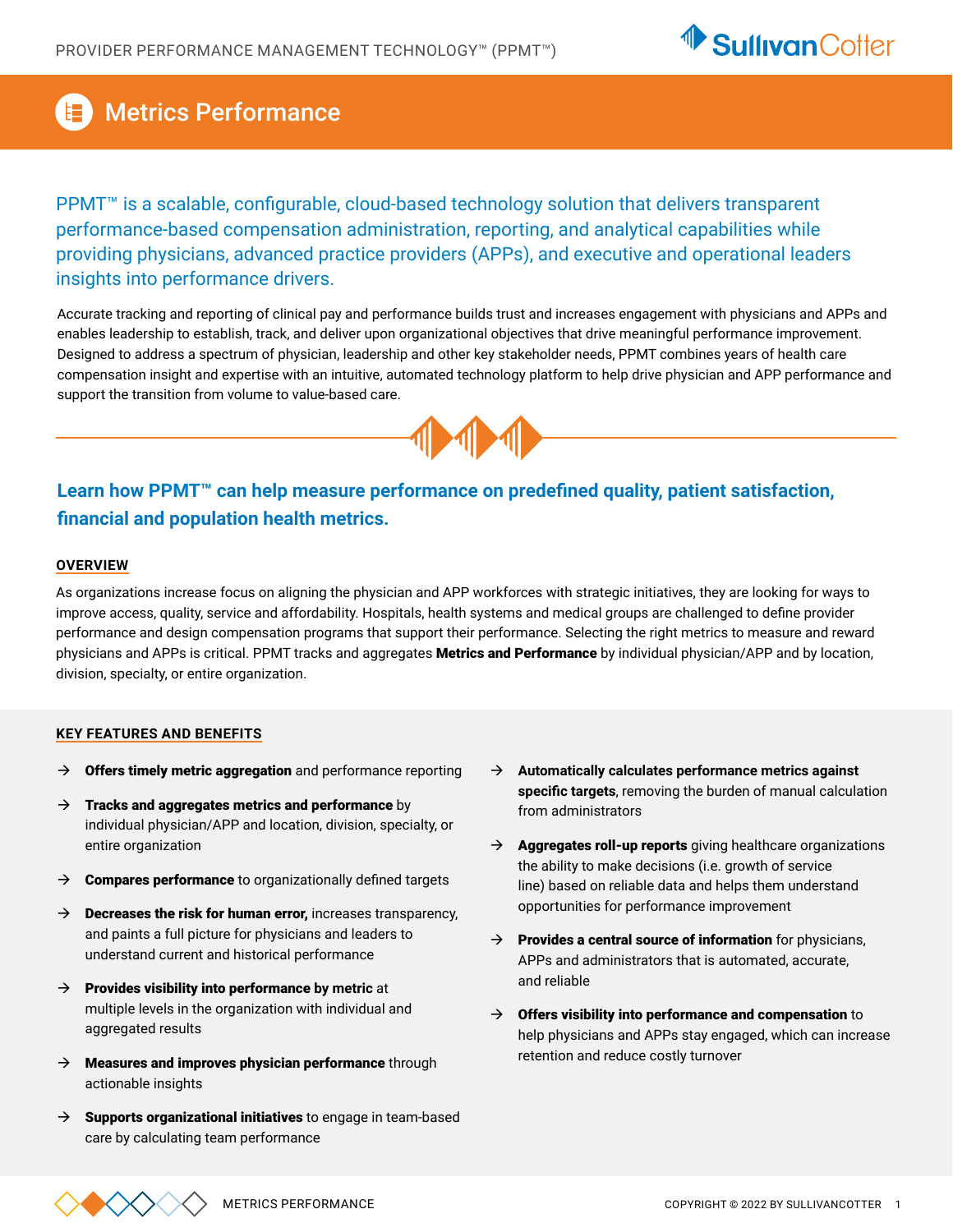

# Metrics Performance

PPMT<sup>™</sup> is a scalable, configurable, cloud-based technology solution that delivers transparent performance-based compensation administration, reporting, and analytical capabilities while providing physicians, advanced practice providers (APPs), and executive and operational leaders insights into performance drivers.

Accurate tracking and reporting of clinical pay and performance builds trust and increases engagement with physicians and APPs and enables leadership to establish, track, and deliver upon organizational objectives that drive meaningful performance improvement. Designed to address a spectrum of physician, leadership and other key stakeholder needs, PPMT combines years of health care compensation insight and expertise with an intuitive, automated technology platform to help drive physician and APP performance and support the transition from volume to value-based care.



## **Learn how PPMT™ can help measure performance on predefined quality, patient satisfaction, financial and population health metrics.**

### **OVERVIEW**

As organizations increase focus on aligning the physician and APP workforces with strategic initiatives, they are looking for ways to improve access, quality, service and affordability. Hospitals, health systems and medical groups are challenged to define provider performance and design compensation programs that support their performance. Selecting the right metrics to measure and reward physicians and APPs is critical. PPMT tracks and aggregates **Metrics and Performance** by individual physician/APP and by location, division, specialty, or entire organization.

### **KEY FEATURES AND BENEFITS**

- $\rightarrow$  Offers timely metric aggregation and performance reporting
- $\rightarrow$  Tracks and aggregates metrics and performance by individual physician/APP and location, division, specialty, or entire organization
- $\rightarrow$  Compares performance to organizationally defined targets
- $\rightarrow$  Decreases the risk for human error, increases transparency, and paints a full picture for physicians and leaders to understand current and historical performance
- $\rightarrow$  **Provides visibility into performance by metric** at multiple levels in the organization with individual and aggregated results
- $\rightarrow$  Measures and improves physician performance through actionable insights
- $\rightarrow$  Supports organizational initiatives to engage in team-based care by calculating team performance
- → Automatically calculates performance metrics against **specific targets**, removing the burden of manual calculation from administrators
- $\rightarrow$  **Aggregates roll-up reports** giving healthcare organizations the ability to make decisions (i.e. growth of service line) based on reliable data and helps them understand opportunities for performance improvement
- $\rightarrow$  Provides a central source of information for physicians, APPs and administrators that is automated, accurate, and reliable
- $\rightarrow$  Offers visibility into performance and compensation to help physicians and APPs stay engaged, which can increase retention and reduce costly turnover